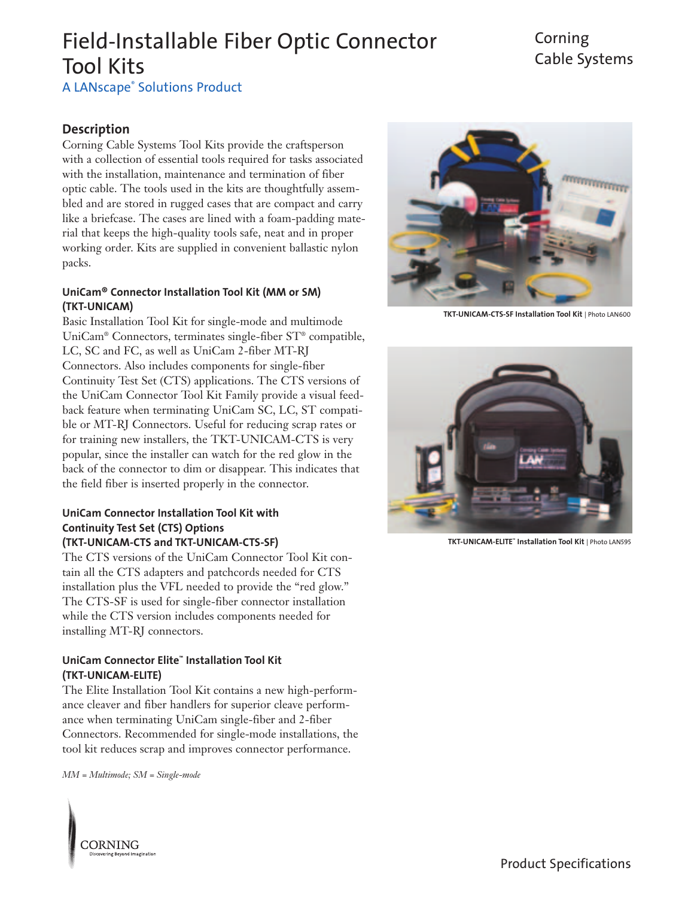### Corning Cable Systems

A LANscape® Solutions Product

### **Description**

Corning Cable Systems Tool Kits provide the craftsperson with a collection of essential tools required for tasks associated with the installation, maintenance and termination of fiber optic cable. The tools used in the kits are thoughtfully assembled and are stored in rugged cases that are compact and carry like a briefcase. The cases are lined with a foam-padding material that keeps the high-quality tools safe, neat and in proper working order. Kits are supplied in convenient ballastic nylon packs.

#### **UniCam® Connector Installation Tool Kit (MM or SM) (TKT-UNICAM)**

Basic Installation Tool Kit for single-mode and multimode UniCam® Connectors, terminates single-fiber ST® compatible, LC, SC and FC, as well as UniCam 2-fiber MT-RJ Connectors. Also includes components for single-fiber Continuity Test Set (CTS) applications. The CTS versions of the UniCam Connector Tool Kit Family provide a visual feedback feature when terminating UniCam SC, LC, ST compatible or MT-RJ Connectors. Useful for reducing scrap rates or for training new installers, the TKT-UNICAM-CTS is very popular, since the installer can watch for the red glow in the back of the connector to dim or disappear. This indicates that the field fiber is inserted properly in the connector.

#### **UniCam Connector Installation Tool Kit with Continuity Test Set (CTS) Options (TKT-UNICAM-CTS and TKT-UNICAM-CTS-SF)**

The CTS versions of the UniCam Connector Tool Kit contain all the CTS adapters and patchcords needed for CTS installation plus the VFL needed to provide the "red glow." The CTS-SF is used for single-fiber connector installation while the CTS version includes components needed for installing MT-RJ connectors.

### **UniCam Connector Elite™ Installation Tool Kit (TKT-UNICAM-ELITE)**

The Elite Installation Tool Kit contains a new high-performance cleaver and fiber handlers for superior cleave performance when terminating UniCam single-fiber and 2-fiber Connectors. Recommended for single-mode installations, the tool kit reduces scrap and improves connector performance.

*MM = Multimode; SM = Single-mode*

**CORNING** 



**TKT-UNICAM-CTS-SF Installation Tool Kit** | Photo LAN600



**TKT-UNICAM-ELITE™ Installation Tool Kit** | Photo LAN595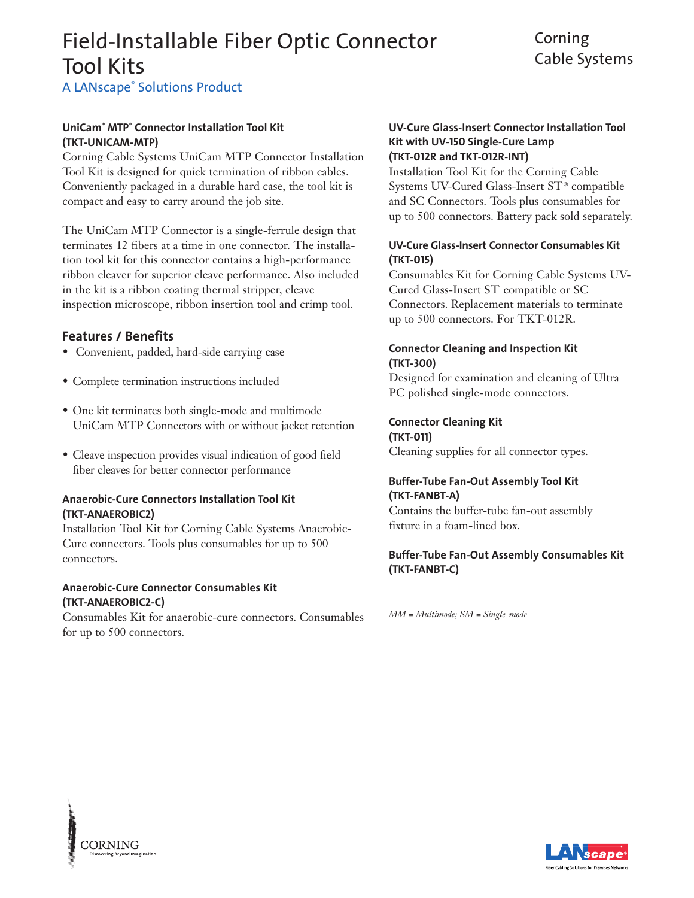### Corning Cable Systems

**A LANscape® Solutions Product** 

### **UniCam® MTP® Connector Installation Tool Kit (TKT-UNICAM-MTP)**

Corning Cable Systems UniCam MTP Connector Installation Tool Kit is designed for quick termination of ribbon cables. Conveniently packaged in a durable hard case, the tool kit is compact and easy to carry around the job site.

The UniCam MTP Connector is a single-ferrule design that terminates 12 fibers at a time in one connector. The installation tool kit for this connector contains a high-performance ribbon cleaver for superior cleave performance. Also included in the kit is a ribbon coating thermal stripper, cleave inspection microscope, ribbon insertion tool and crimp tool.

### **Features / Benefits**

- Convenient, padded, hard-side carrying case
- Complete termination instructions included
- One kit terminates both single-mode and multimode UniCam MTP Connectors with or without jacket retention
- Cleave inspection provides visual indication of good field fiber cleaves for better connector performance

### **Anaerobic-Cure Connectors Installation Tool Kit (TKT-ANAEROBIC2)**

Installation Tool Kit for Corning Cable Systems Anaerobic-Cure connectors. Tools plus consumables for up to 500 connectors.

### **Anaerobic-Cure Connector Consumables Kit (TKT-ANAEROBIC2-C)**

Consumables Kit for anaerobic-cure connectors. Consumables for up to 500 connectors.

### **UV-Cure Glass-Insert Connector Installation Tool Kit with UV-150 Single-Cure Lamp (TKT-012R and TKT-012R-INT)**

Installation Tool Kit for the Corning Cable Systems UV-Cured Glass-Insert ST® compatible and SC Connectors. Tools plus consumables for up to 500 connectors. Battery pack sold separately.

### **UV-Cure Glass-Insert Connector Consumables Kit (TKT-015)**

Consumables Kit for Corning Cable Systems UV-Cured Glass-Insert ST compatible or SC Connectors. Replacement materials to terminate up to 500 connectors. For TKT-012R.

### **Connector Cleaning and Inspection Kit (TKT-300)**

Designed for examination and cleaning of Ultra PC polished single-mode connectors.

**Connector Cleaning Kit (TKT-011)** Cleaning supplies for all connector types.

### **Buffer-Tube Fan-Out Assembly Tool Kit (TKT-FANBT-A)**

Contains the buffer-tube fan-out assembly fixture in a foam-lined box.

### **Buffer-Tube Fan-Out Assembly Consumables Kit (TKT-FANBT-C)**

*MM = Multimode; SM = Single-mode*



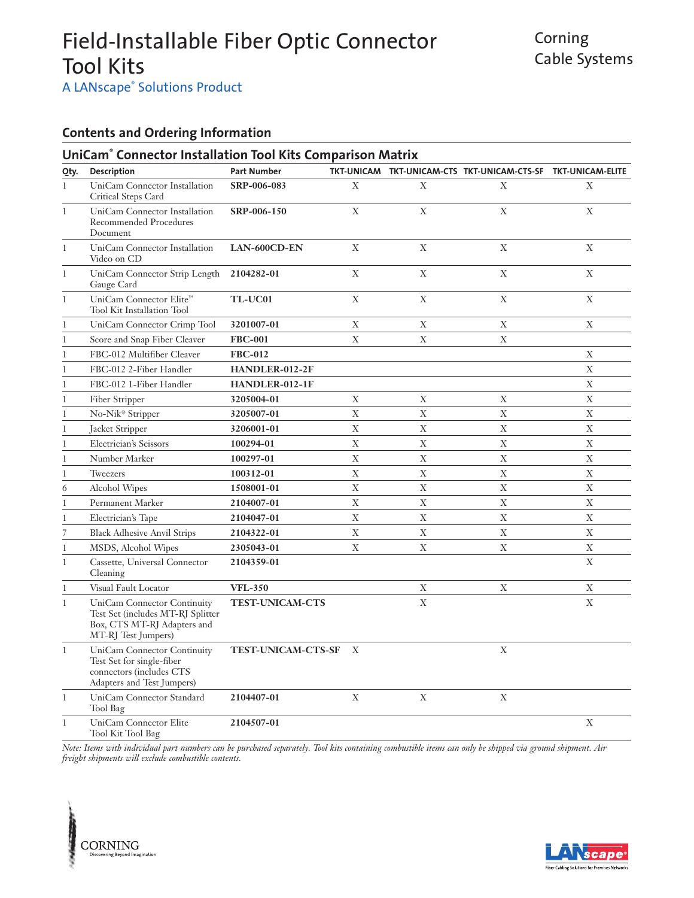**A LANscape® Solutions Product** 

### **Contents and Ordering Information**

|              | UniCam <sup>®</sup> Connector Installation Tool Kits Comparison Matrix                                                    |                           |                  |              |                                                              |              |
|--------------|---------------------------------------------------------------------------------------------------------------------------|---------------------------|------------------|--------------|--------------------------------------------------------------|--------------|
| Qty.         | Description                                                                                                               | <b>Part Number</b>        |                  |              | TKT-UNICAM TKT-UNICAM-CTS TKT-UNICAM-CTS-SF TKT-UNICAM-ELITE |              |
| $\mathbf{1}$ | UniCam Connector Installation<br>Critical Steps Card                                                                      | SRP-006-083               | X                | X            | X                                                            | X            |
| $\mathbf{1}$ | UniCam Connector Installation<br><b>Recommended Procedures</b><br>Document                                                | SRP-006-150               | $\mathbf X$      | $\mathbf X$  | $\mathbf X$                                                  | X            |
| $\mathbf{1}$ | UniCam Connector Installation<br>Video on CD                                                                              | LAN-600CD-EN              | X                | $\mathbf X$  | $\mathbf{X}$                                                 | $\mathbf{X}$ |
| 1            | UniCam Connector Strip Length<br>Gauge Card                                                                               | 2104282-01                | $\mathbf X$      | X            | $\mathbf X$                                                  | X            |
| $\mathbf{1}$ | UniCam Connector Elite™<br><b>Tool Kit Installation Tool</b>                                                              | TL-UC01                   | X                | X            | X                                                            | X            |
| 1            | UniCam Connector Crimp Tool                                                                                               | 3201007-01                | $\mathbf X$      | $\mathbf X$  | X                                                            | X            |
| $\mathbf{1}$ | Score and Snap Fiber Cleaver                                                                                              | <b>FBC-001</b>            | X                | X            | X                                                            |              |
| 1            | FBC-012 Multifiber Cleaver                                                                                                | <b>FBC-012</b>            |                  |              |                                                              | X            |
| 1            | FBC-012 2-Fiber Handler                                                                                                   | HANDLER-012-2F            |                  |              |                                                              | $\mathbf X$  |
| 1            | FBC-012 1-Fiber Handler                                                                                                   | HANDLER-012-1F            |                  |              |                                                              | $\mathbf X$  |
| $\mathbf{1}$ | Fiber Stripper                                                                                                            | 3205004-01                | $\mathbf X$      | $\mathbf X$  | X                                                            | X            |
| 1            | No-Nik <sup>®</sup> Stripper                                                                                              | 3205007-01                | $\mathbf X$      | $\mathbf X$  | X                                                            | $\mathbf X$  |
| 1            | Jacket Stripper                                                                                                           | 3206001-01                | X                | X            | X                                                            | X            |
| 1            | Electrician's Scissors                                                                                                    | 100294-01                 | X                | X            | X                                                            | X            |
| $\mathbf{1}$ | Number Marker                                                                                                             | 100297-01                 | $\mathbf X$      | X            | X                                                            | X            |
| 1            | Tweezers                                                                                                                  | 100312-01                 | $\mathbf X$      | $\mathbf X$  | $\mathbf X$                                                  | $\mathbf X$  |
| 6            | Alcohol Wipes                                                                                                             | 1508001-01                | $\mathbf X$      | $\mathbf X$  | $\boldsymbol{\mathrm{X}}$                                    | $\mathbf X$  |
| 1            | Permanent Marker                                                                                                          | 2104007-01                | $\bar{X}$        | $\bar{X}$    | $\mathbf X$                                                  | $\mathbf X$  |
| 1            | Electrician's Tape                                                                                                        | 2104047-01                | $\mathbf X$      | $\mathbf{X}$ | $\mathbf{X}$                                                 | X            |
| 7            | <b>Black Adhesive Anvil Strips</b>                                                                                        | 2104322-01                | $\mathbf X$      | X            | X                                                            | X            |
| 1            | MSDS, Alcohol Wipes                                                                                                       | 2305043-01                | X                | X            | X                                                            | $\mathbf X$  |
| $\mathbf{1}$ | Cassette, Universal Connector<br>Cleaning                                                                                 | 2104359-01                |                  |              |                                                              | X            |
| 1            | Visual Fault Locator                                                                                                      | <b>VFL-350</b>            |                  | X            | X                                                            | X            |
| $\mathbf{1}$ | UniCam Connector Continuity<br>Test Set (includes MT-RJ Splitter<br>Box, CTS MT-RJ Adapters and<br>MT-RJ Test Jumpers)    | <b>TEST-UNICAM-CTS</b>    |                  | X            |                                                              | X            |
| $\mathbf{1}$ | <b>UniCam Connector Continuity</b><br>Test Set for single-fiber<br>connectors (includes CTS<br>Adapters and Test Jumpers) | <b>TEST-UNICAM-CTS-SF</b> | $\boldsymbol{X}$ |              | $\mathbf X$                                                  |              |
| 1            | UniCam Connector Standard<br>Tool Bag                                                                                     | 2104407-01                | $\mathbf X$      | $\mathbf X$  | X                                                            |              |
| $\mathbf{1}$ | UniCam Connector Elite<br>Tool Kit Tool Bag                                                                               | 2104507-01                |                  |              |                                                              | X            |

*Note: Items with individual part numbers can be purchased separately. Tool kits containing combustible items can only be shipped via ground shipment. Air freight shipments will exclude combustible contents.*



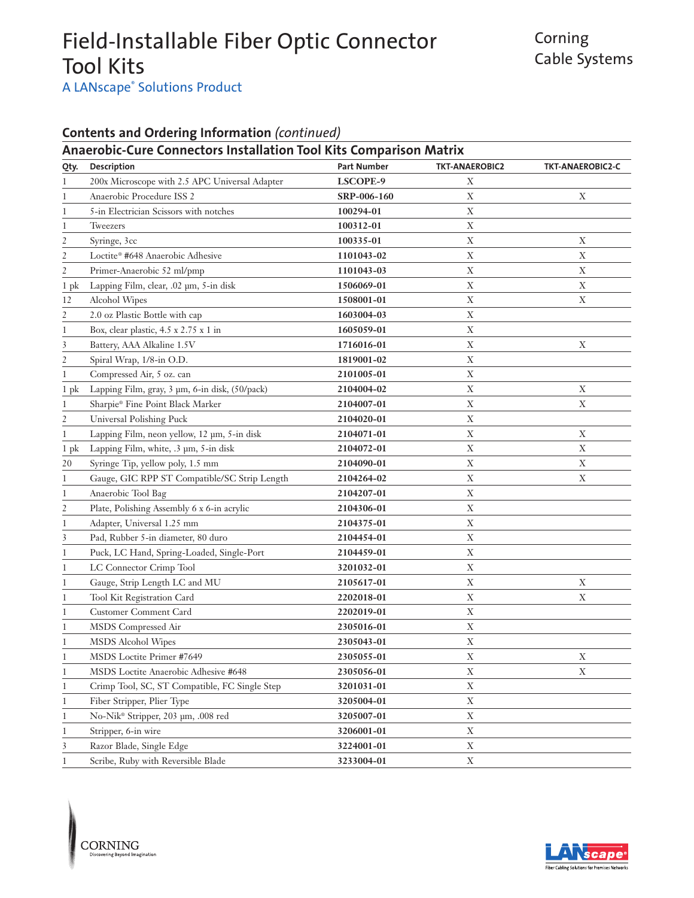### Corning Cable Systems

A LANscape<sup>®</sup> Solutions Product

### **Contents and Ordering Information** *(continued)*

|                | <b>Anaerobic-Cure Connectors Installation Tool Kits Comparison Matrix</b> |                    |                       |                         |
|----------------|---------------------------------------------------------------------------|--------------------|-----------------------|-------------------------|
| Qty.           | Description                                                               | <b>Part Number</b> | <b>TKT-ANAEROBIC2</b> | <b>TKT-ANAEROBIC2-C</b> |
| 1              | 200x Microscope with 2.5 APC Universal Adapter                            | LSCOPE-9           | $\mathbf X$           |                         |
| 1              | Anaerobic Procedure ISS 2                                                 | SRP-006-160        | $\mathbf X$           | Χ                       |
| 1              | 5-in Electrician Scissors with notches                                    | 100294-01          | $\mathbf X$           |                         |
| 1              | Tweezers                                                                  | 100312-01          | $\mathbf X$           |                         |
| $\overline{c}$ | Syringe, 3cc                                                              | 100335-01          | $\mathbf X$           | Χ                       |
| 2              | Loctite® #648 Anaerobic Adhesive                                          | 1101043-02         | $\mathbf X$           | Χ                       |
| $\mathfrak{2}$ | Primer-Anaerobic 52 ml/pmp                                                | 1101043-03         | $\mathbf X$           | $\mathbf X$             |
| 1 pk           | Lapping Film, clear, .02 µm, 5-in disk                                    | 1506069-01         | $\mathbf X$           | $\mathbf X$             |
| 12             | Alcohol Wipes                                                             | 1508001-01         | $\mathbf X$           | $\mathbf X$             |
| 2              | 2.0 oz Plastic Bottle with cap                                            | 1603004-03         | $\mathbf X$           |                         |
| 1              | Box, clear plastic, 4.5 x 2.75 x 1 in                                     | 1605059-01         | $\mathbf X$           |                         |
| 3              | Battery, AAA Alkaline 1.5V                                                | 1716016-01         | $\mathbf X$           | $\mathbf X$             |
| 2              | Spiral Wrap, 1/8-in O.D.                                                  | 1819001-02         | $\mathbf X$           |                         |
| 1              | Compressed Air, 5 oz. can                                                 | 2101005-01         | $\mathbf X$           |                         |
| $1$ pk         | Lapping Film, gray, 3 µm, 6-in disk, (50/pack)                            | 2104004-02         | $\mathbf X$           | $\mathbf X$             |
| 1              | Sharpie® Fine Point Black Marker                                          | 2104007-01         | $\mathbf X$           | $\mathbf X$             |
| 2              | Universal Polishing Puck                                                  | 2104020-01         | $\mathbf X$           |                         |
| 1              | Lapping Film, neon yellow, 12 µm, 5-in disk                               | 2104071-01         | $\mathbf X$           | $\mathbf X$             |
| $1$ pk         | Lapping Film, white, .3 µm, 5-in disk                                     | 2104072-01         | $\mathbf X$           | $\mathbf X$             |
| 20             | Syringe Tip, yellow poly, 1.5 mm                                          | 2104090-01         | $\mathbf X$           | $\mathbf X$             |
| 1              | Gauge, GIC RPP ST Compatible/SC Strip Length                              | 2104264-02         | $\mathbf X$           | $\mathbf X$             |
| 1              | Anaerobic Tool Bag                                                        | 2104207-01         | $\mathbf X$           |                         |
| 2              | Plate, Polishing Assembly 6 x 6-in acrylic                                | 2104306-01         | $\mathbf X$           |                         |
| 1              | Adapter, Universal 1.25 mm                                                | 2104375-01         | $\mathbf X$           |                         |
| 3              | Pad, Rubber 5-in diameter, 80 duro                                        | 2104454-01         | $\mathbf X$           |                         |
| 1              | Puck, LC Hand, Spring-Loaded, Single-Port                                 | 2104459-01         | $\mathbf X$           |                         |
| 1              | LC Connector Crimp Tool                                                   | 3201032-01         | $\mathbf X$           |                         |
| 1              | Gauge, Strip Length LC and MU                                             | 2105617-01         | $\mathbf X$           | X                       |
| 1              | Tool Kit Registration Card                                                | 2202018-01         | $\mathbf X$           | $\mathbf X$             |
| 1              | Customer Comment Card                                                     | 2202019-01         | $\mathbf X$           |                         |
| 1              | MSDS Compressed Air                                                       | 2305016-01         | $\mathbf X$           |                         |
| 1              | MSDS Alcohol Wipes                                                        | 2305043-01         | $\mathbf X$           |                         |
| 1              | MSDS Loctite Primer #7649                                                 | 2305055-01         | $\mathbf X$           | Χ                       |
| 1              | MSDS Loctite Anaerobic Adhesive #648                                      | 2305056-01         | $\mathbf X$           | $\mathbf X$             |
| 1              | Crimp Tool, SC, ST Compatible, FC Single Step                             | 3201031-01         | $\mathbf X$           |                         |
| 1              | Fiber Stripper, Plier Type                                                | 3205004-01         | $\mathbf X$           |                         |
| 1              | No-Nik® Stripper, 203 µm, .008 red                                        | 3205007-01         | $\mathbf X$           |                         |
| 1              | Stripper, 6-in wire                                                       | 3206001-01         | $\mathbf X$           |                         |
| 3              | Razor Blade, Single Edge                                                  | 3224001-01         | $\mathbf X$           |                         |
| 1              | Scribe, Ruby with Reversible Blade                                        | 3233004-01         | $\mathbf X$           |                         |



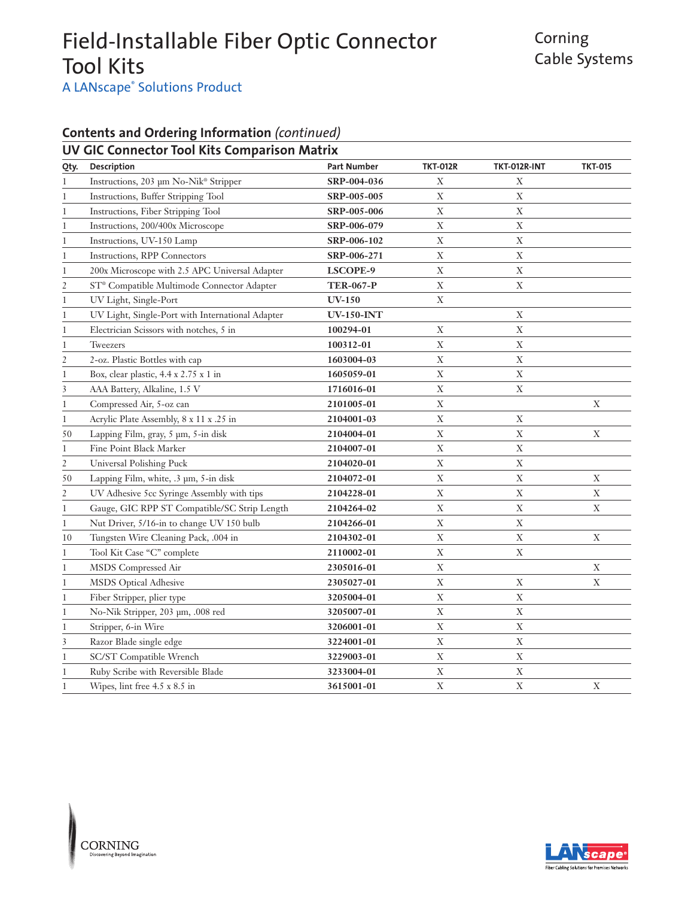A LANscape<sup>®</sup> Solutions Product

### **Contents and Ordering Information** *(continued)*

### **UV GIC Connector Tool Kits Comparison Matrix**

| Qty.           | Description                                      | <b>Part Number</b> | <b>TKT-012R</b> | TKT-012R-INT | <b>TKT-015</b> |
|----------------|--------------------------------------------------|--------------------|-----------------|--------------|----------------|
| 1              | Instructions, 203 µm No-Nik® Stripper            | SRP-004-036        | X               | X            |                |
| 1              | Instructions, Buffer Stripping Tool              | SRP-005-005        | X               | X            |                |
| 1              | Instructions, Fiber Stripping Tool               | SRP-005-006        | $\mathbf X$     | X            |                |
| 1              | Instructions, 200/400x Microscope                | SRP-006-079        | $\mathbf X$     | $\mathbf X$  |                |
| 1              | Instructions, UV-150 Lamp                        | SRP-006-102        | $\mathbf X$     | $\mathbf X$  |                |
| 1              | Instructions, RPP Connectors                     | SRP-006-271        | $\mathbf X$     | $\mathbf X$  |                |
| 1              | 200x Microscope with 2.5 APC Universal Adapter   | LSCOPE-9           | $\mathbf X$     | $\mathbf X$  |                |
| $\overline{2}$ | ST® Compatible Multimode Connector Adapter       | <b>TER-067-P</b>   | $\mathbf X$     | $\mathbf X$  |                |
| 1              | UV Light, Single-Port                            | $UV-150$           | $\mathbf X$     |              |                |
| 1              | UV Light, Single-Port with International Adapter | <b>UV-150-INT</b>  |                 | X            |                |
| 1              | Electrician Scissors with notches, 5 in          | 100294-01          | $\mathbf X$     | $\mathbf X$  |                |
| 1              | Tweezers                                         | 100312-01          | $\mathbf X$     | $\mathbf X$  |                |
| 2              | 2-oz. Plastic Bottles with cap                   | 1603004-03         | $\mathbf X$     | $\mathbf X$  |                |
| $\mathbf{1}$   | Box, clear plastic, 4.4 x 2.75 x 1 in            | 1605059-01         | $\mathbf X$     | $\mathbf X$  |                |
| 3              | AAA Battery, Alkaline, 1.5 V                     | 1716016-01         | $\mathbf X$     | $\mathbf X$  |                |
| 1              | Compressed Air, 5-oz can                         | 2101005-01         | $\mathbf X$     |              | $\mathbf X$    |
| 1              | Acrylic Plate Assembly, 8 x 11 x .25 in          | 2104001-03         | X               | Χ            |                |
| 50             | Lapping Film, gray, 5 µm, 5-in disk              | 2104004-01         | $\mathbf X$     | X            | $\mathbf X$    |
| 1              | Fine Point Black Marker                          | 2104007-01         | $\mathbf X$     | $\mathbf X$  |                |
| $\overline{2}$ | Universal Polishing Puck                         | 2104020-01         | $\mathbf X$     | $\mathbf X$  |                |
| 50             | Lapping Film, white, .3 µm, 5-in disk            | 2104072-01         | $\mathbf X$     | $\mathbf X$  | X              |
| $\mathfrak{2}$ | UV Adhesive 5cc Syringe Assembly with tips       | 2104228-01         | $\mathbf X$     | $\mathbf X$  | $\mathbf X$    |
| 1              | Gauge, GIC RPP ST Compatible/SC Strip Length     | 2104264-02         | $\mathbf X$     | $\mathbf X$  | $\mathbf X$    |
| 1              | Nut Driver, 5/16-in to change UV 150 bulb        | 2104266-01         | $\mathbf X$     | $\mathbf X$  |                |
| 10             | Tungsten Wire Cleaning Pack, .004 in             | 2104302-01         | $\mathbf X$     | $\mathbf X$  | X              |
| 1              | Tool Kit Case "C" complete                       | 2110002-01         | $\mathbf X$     | $\mathbf X$  |                |
| 1              | MSDS Compressed Air                              | 2305016-01         | $\mathbf X$     |              | $\mathbf X$    |
| $\mathbf{1}$   | MSDS Optical Adhesive                            | 2305027-01         | $\mathbf X$     | X            | X              |
| $\mathbf{1}$   | Fiber Stripper, plier type                       | 3205004-01         | X               | X            |                |
| $\mathbf{1}$   | No-Nik Stripper, 203 µm, .008 red                | 3205007-01         | $\mathbf X$     | X            |                |
| 1              | Stripper, 6-in Wire                              | 3206001-01         | $\mathbf X$     | $\mathbf X$  |                |
| 3              | Razor Blade single edge                          | 3224001-01         | $\mathbf X$     | $\mathbf X$  |                |
| 1              | SC/ST Compatible Wrench                          | 3229003-01         | $\mathbf X$     | $\mathbf X$  |                |
| 1              | Ruby Scribe with Reversible Blade                | 3233004-01         | $\mathbf X$     | $\mathbf X$  |                |
| 1              | Wipes, lint free 4.5 x 8.5 in                    | 3615001-01         | $\mathbf X$     | $\mathbf X$  | X              |

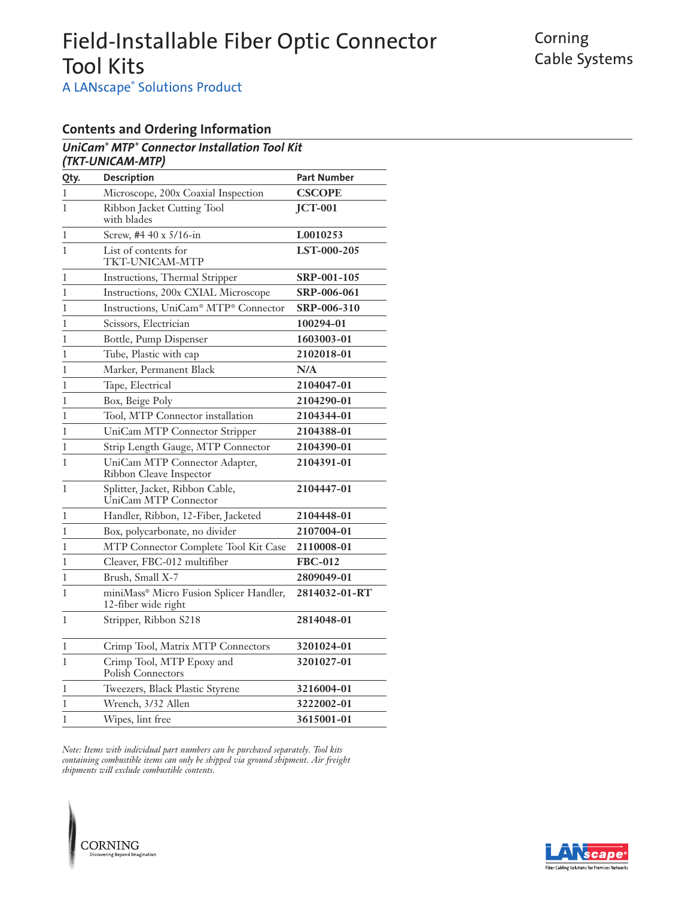Corning Cable Systems

**A LANscape® Solutions Product** 

### **Contents and Ordering Information**

#### *UniCam® MTP® Connector Installation Tool Kit (TKT-UNICAM-MTP)*

| Qty.         | Description                                                    | <b>Part Number</b> |
|--------------|----------------------------------------------------------------|--------------------|
| 1            | Microscope, 200x Coaxial Inspection                            | <b>CSCOPE</b>      |
| $\mathbf{1}$ | Ribbon Jacket Cutting Tool<br>with blades                      | <b>JCT-001</b>     |
| $\mathbf{1}$ | Screw, #4 40 x 5/16-in                                         | L0010253           |
| $\mathbf{1}$ | List of contents for<br>TKT-UNICAM-MTP                         | LST-000-205        |
| 1            | Instructions, Thermal Stripper                                 | SRP-001-105        |
| 1            | Instructions, 200x CXIAL Microscope                            | SRP-006-061        |
| 1            | Instructions, UniCam® MTP® Connector                           | SRP-006-310        |
| 1            | Scissors, Electrician                                          | 100294-01          |
| 1            | Bottle, Pump Dispenser                                         | 1603003-01         |
| 1            | Tube, Plastic with cap                                         | 2102018-01         |
| 1            | Marker, Permanent Black                                        | N/A                |
| 1            | Tape, Electrical                                               | 2104047-01         |
| 1            | Box, Beige Poly                                                | 2104290-01         |
| 1            | Tool, MTP Connector installation                               | 2104344-01         |
| $\mathbf{1}$ | UniCam MTP Connector Stripper                                  | 2104388-01         |
| 1            | Strip Length Gauge, MTP Connector                              | 2104390-01         |
| 1            | UniCam MTP Connector Adapter,<br>Ribbon Cleave Inspector       | 2104391-01         |
| 1            | Splitter, Jacket, Ribbon Cable,<br>UniCam MTP Connector        | 2104447-01         |
| 1            | Handler, Ribbon, 12-Fiber, Jacketed                            | 2104448-01         |
| 1            | Box, polycarbonate, no divider                                 | 2107004-01         |
| 1            | MTP Connector Complete Tool Kit Case                           | 2110008-01         |
| 1            | Cleaver, FBC-012 multifiber                                    | <b>FBC-012</b>     |
| 1            | Brush, Small X-7                                               | 2809049-01         |
| 1            | miniMass® Micro Fusion Splicer Handler,<br>12-fiber wide right | 2814032-01-RT      |
| 1            | Stripper, Ribbon S218                                          | 2814048-01         |
| 1            | Crimp Tool, Matrix MTP Connectors                              | 3201024-01         |
| 1            | Crimp Tool, MTP Epoxy and<br>Polish Connectors                 | 3201027-01         |
| 1            | Tweezers, Black Plastic Styrene                                | 3216004-01         |
| 1            | Wrench, 3/32 Allen                                             | 3222002-01         |
| $\mathbf{1}$ | Wipes, lint free                                               | 3615001-01         |

*Note: Items with individual part numbers can be purchased separately. Tool kits containing combustible items can only be shipped via ground shipment. Air freight shipments will exclude combustible contents.*



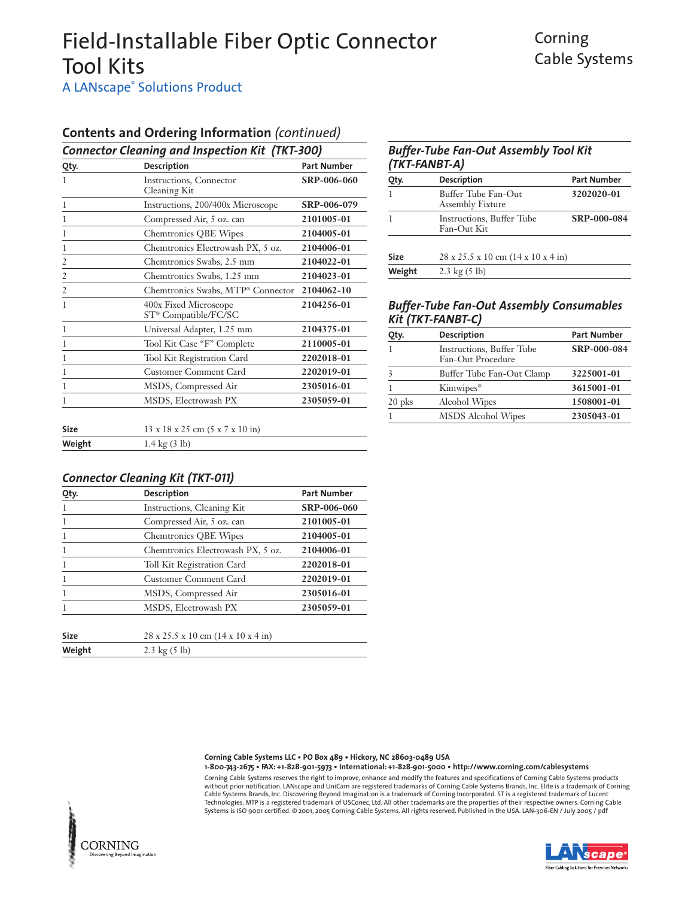### Corning Cable Systems

A LANscape<sup>®</sup> Solutions Product

### **Contents and Ordering Information** *(continued)*

| <b>Connector Cleaning and Inspection Kit (TKT-300)</b> |                                                           |                    |  |
|--------------------------------------------------------|-----------------------------------------------------------|--------------------|--|
| Qty.                                                   | <b>Description</b>                                        | <b>Part Number</b> |  |
| 1                                                      | Instructions, Connector<br>Cleaning Kit                   | SRP-006-060        |  |
| $\mathbf{1}$                                           | Instructions, 200/400x Microscope                         | SRP-006-079        |  |
| 1                                                      | Compressed Air, 5 oz. can                                 | 2101005-01         |  |
| 1                                                      | <b>Chemtronics QBE Wipes</b>                              | 2104005-01         |  |
| 1                                                      | Chemtronics Electrowash PX, 5 oz.                         | 2104006-01         |  |
| $\overline{2}$                                         | Chemtronics Swabs, 2.5 mm                                 | 2104022-01         |  |
| $\frac{2}{1}$                                          | Chemtronics Swabs, 1.25 mm                                | 2104023-01         |  |
| $\frac{2}{1}$                                          | Chemtronics Swabs, MTP <sup>®</sup> Connector             | 2104062-10         |  |
| 1                                                      | 400x Fixed Microscope<br>ST <sup>®</sup> Compatible/FC/SC | 2104256-01         |  |
| 1                                                      | Universal Adapter, 1.25 mm                                | 2104375-01         |  |
| 1                                                      | Tool Kit Case "F" Complete                                | 2110005-01         |  |
| 1                                                      | Tool Kit Registration Card                                | 2202018-01         |  |
| 1                                                      | <b>Customer Comment Card</b>                              | 2202019-01         |  |
| 1                                                      | MSDS, Compressed Air                                      | 2305016-01         |  |
| 1                                                      | MSDS, Electrowash PX                                      | 2305059-01         |  |
| <b>Size</b>                                            | 13 x 18 x 25 cm (5 x 7 x 10 in)                           |                    |  |
| Weight                                                 | $1.4 \text{ kg} (3 \text{ lb})$                           |                    |  |

### *Connector Cleaning Kit (TKT-011)*

| Qty.        | <b>Description</b>                                     | <b>Part Number</b> |
|-------------|--------------------------------------------------------|--------------------|
| 1           | Instructions, Cleaning Kit                             | SRP-006-060        |
| 1           | Compressed Air, 5 oz. can                              | 2101005-01         |
| 1           | <b>Chemtronics QBE Wipes</b>                           | 2104005-01         |
| 1           | Chemtronics Electrowash PX, 5 oz.                      | 2104006-01         |
| 1           | Toll Kit Registration Card                             | 2202018-01         |
| 1           | <b>Customer Comment Card</b>                           | 2202019-01         |
| 1           | MSDS, Compressed Air                                   | 2305016-01         |
|             | MSDS, Electrowash PX                                   | 2305059-01         |
|             |                                                        |                    |
| <b>Size</b> | $28 \times 25.5 \times 10 \text{ cm}$ (14 x 10 x 4 in) |                    |
| Weight      | 2.3 kg $(5 \text{ lb})$                                |                    |

| <b>Buffer-Tube Fan-Out Assembly Tool Kit</b><br>(TKT-FANBT-A) |                                                |                    |
|---------------------------------------------------------------|------------------------------------------------|--------------------|
| Qty.                                                          | <b>Description</b>                             | <b>Part Number</b> |
|                                                               | Buffer Tube Fan-Out<br><b>Assembly Fixture</b> | 3202020-01         |
|                                                               | Instructions, Buffer Tube<br>Fan-Out Kit       | SRP-000-084        |

**Size** 28 x 25.5 x 10 cm (14 x 10 x 4 in)

**Weight** 2.3 kg (5 lb)

#### *Buffer-Tube Fan-Out Assembly Consumables Kit (TKT-FANBT-C)*

| Qty.     | <b>Description</b>                                     | <b>Part Number</b> |
|----------|--------------------------------------------------------|--------------------|
|          | <b>Instructions</b> , Buffer Tube<br>Fan-Out Procedure | SRP-000-084        |
| 3        | Buffer Tube Fan-Out Clamp                              | 3225001-01         |
|          | Kimwipes <sup>®</sup>                                  | 3615001-01         |
| $20$ pks | Alcohol Wipes                                          | 1508001-01         |
|          | MSDS Alcohol Wipes                                     | 2305043-01         |

**Corning Cable Systems LLC • PO Box 489 • Hickory, NC 28603-0489 USA 1-800-743-2675 • FAX: +1-828-901-5973 • International: +1-828-901-5000 • http://www.corning.com/cablesystems**

Corning Cable Systems reserves the right to improve, enhance and modify the features and specifications of Corning Cable Systems products without prior notification. LANscape and UniCam are registered trademarks of Corning Cable Systems Brands, Inc. Elite is a trademark of Corning<br>Cable Systems Brands, Inc. Discovering Beyond Imagination is a trademark of Co